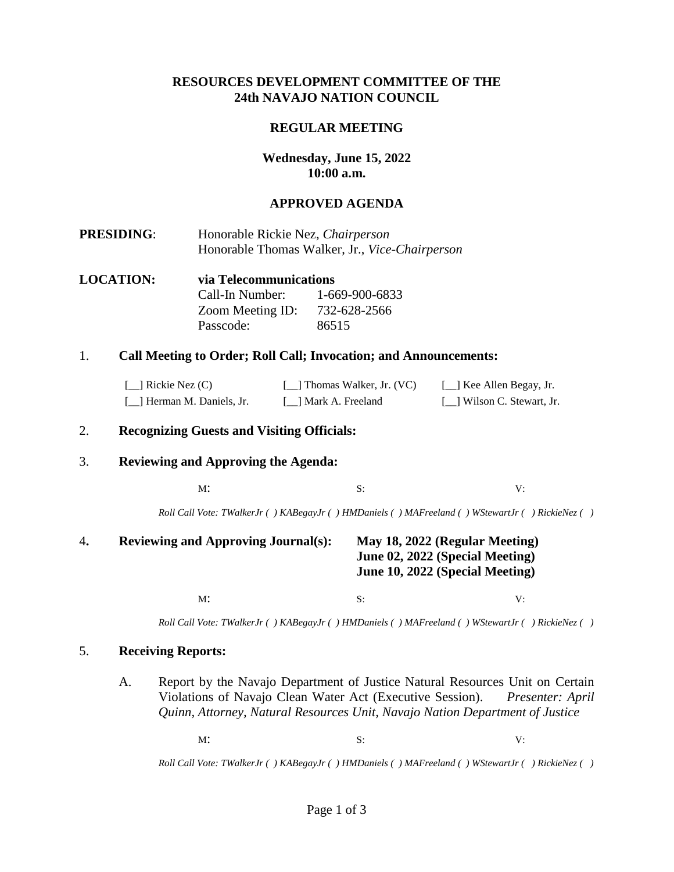### **RESOURCES DEVELOPMENT COMMITTEE OF THE 24th NAVAJO NATION COUNCIL**

#### **REGULAR MEETING**

## **Wednesday, June 15, 2022 10:00 a.m.**

#### **APPROVED AGENDA**

- **PRESIDING**: Honorable Rickie Nez, *Chairperson* Honorable Thomas Walker, Jr., *Vice-Chairperson*
- **LOCATION: via Telecommunications**  Call-In Number: 1-669-900-6833 Zoom Meeting ID: 732-628-2566 Passcode: 86515

#### 1. **Call Meeting to Order; Roll Call; Invocation; and Announcements:**

| $\lceil$ Rickie Nez (C)    | [11] Thomas Walker, Jr. (VC) | [11] Kee Allen Begay, Jr.   |
|----------------------------|------------------------------|-----------------------------|
| [_] Herman M. Daniels, Jr. | [ 1 Mark A. Freeland         | [11] Wilson C. Stewart, Jr. |

#### 2. **Recognizing Guests and Visiting Officials:**

#### 3. **Reviewing and Approving the Agenda:**

 $M$ : S: V:

*Roll Call Vote: TWalkerJr ( ) KABegayJr ( ) HMDaniels ( ) MAFreeland ( ) WStewartJr ( ) RickieNez ( )*

# 4**. Reviewing and Approving Journal(s): May 18, 2022 (Regular Meeting) June 02, 2022 (Special Meeting) June 10, 2022 (Special Meeting)**

 $M$ : S: V:

*Roll Call Vote: TWalkerJr ( ) KABegayJr ( ) HMDaniels ( ) MAFreeland ( ) WStewartJr ( ) RickieNez ( )*

#### 5. **Receiving Reports:**

A. Report by the Navajo Department of Justice Natural Resources Unit on Certain Violations of Navajo Clean Water Act (Executive Session). *Presenter: April Quinn, Attorney, Natural Resources Unit, Navajo Nation Department of Justice*

 $M$ : S: V:

*Roll Call Vote: TWalkerJr ( ) KABegayJr ( ) HMDaniels ( ) MAFreeland ( ) WStewartJr ( ) RickieNez ( )*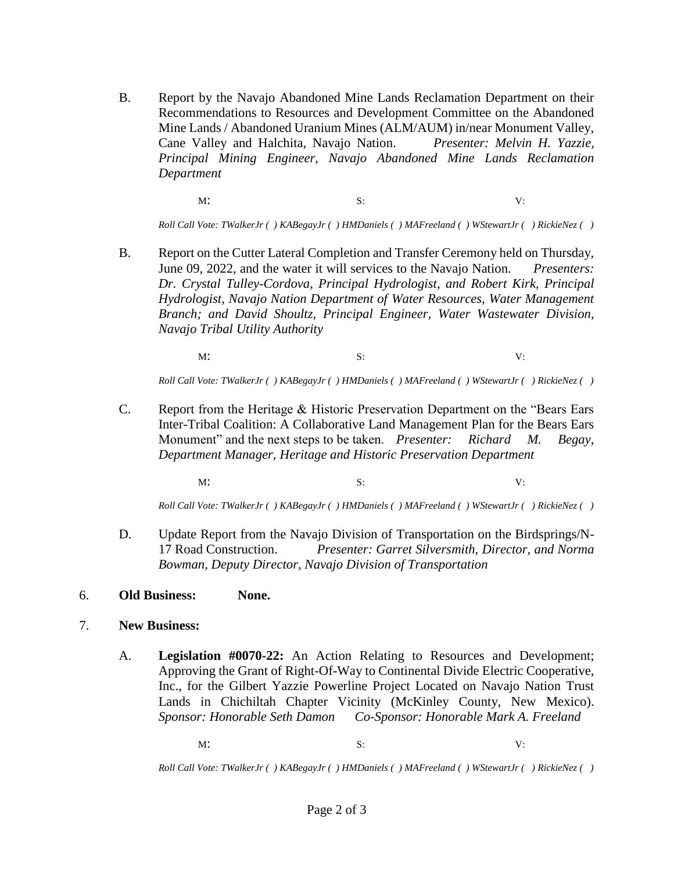B. Report by the Navajo Abandoned Mine Lands Reclamation Department on their Recommendations to Resources and Development Committee on the Abandoned Mine Lands / Abandoned Uranium Mines (ALM/AUM) in/near Monument Valley, Cane Valley and Halchita, Navajo Nation. *Presenter: Melvin H. Yazzie, Principal Mining Engineer, Navajo Abandoned Mine Lands Reclamation Department* 

 $M$ : S: V:

*Roll Call Vote: TWalkerJr ( ) KABegayJr ( ) HMDaniels ( ) MAFreeland ( ) WStewartJr ( ) RickieNez ( )*

B. Report on the Cutter Lateral Completion and Transfer Ceremony held on Thursday, June 09, 2022, and the water it will services to the Navajo Nation. *Presenters: Dr. Crystal Tulley-Cordova, Principal Hydrologist, and Robert Kirk, Principal Hydrologist, Navajo Nation Department of Water Resources, Water Management Branch; and David Shoultz, Principal Engineer, Water Wastewater Division, Navajo Tribal Utility Authority* 

 $M$ : S: V:

*Roll Call Vote: TWalkerJr ( ) KABegayJr ( ) HMDaniels ( ) MAFreeland ( ) WStewartJr ( ) RickieNez ( )*

C. Report from the Heritage & Historic Preservation Department on the "Bears Ears Inter-Tribal Coalition: A Collaborative Land Management Plan for the Bears Ears Monument" and the next steps to be taken. *Presenter: Richard M. Begay, Department Manager, Heritage and Historic Preservation Department* 

 $M$ : S: V:

*Roll Call Vote: TWalkerJr ( ) KABegayJr ( ) HMDaniels ( ) MAFreeland ( ) WStewartJr ( ) RickieNez ( )*

D. Update Report from the Navajo Division of Transportation on the Birdsprings/N-17 Road Construction. *Presenter: Garret Silversmith, Director, and Norma Bowman, Deputy Director, Navajo Division of Transportation*

# 6. **Old Business: None.**

- 7. **New Business:** 
	- A. **Legislation #0070-22:** An Action Relating to Resources and Development; Approving the Grant of Right-Of-Way to Continental Divide Electric Cooperative, Inc., for the Gilbert Yazzie Powerline Project Located on Navajo Nation Trust Lands in Chichiltah Chapter Vicinity (McKinley County, New Mexico). *Sponsor: Honorable Seth Damon Co-Sponsor: Honorable Mark A. Freeland*

 $M$ : S: V:

*Roll Call Vote: TWalkerJr ( ) KABegayJr ( ) HMDaniels ( ) MAFreeland ( ) WStewartJr ( ) RickieNez ( )*